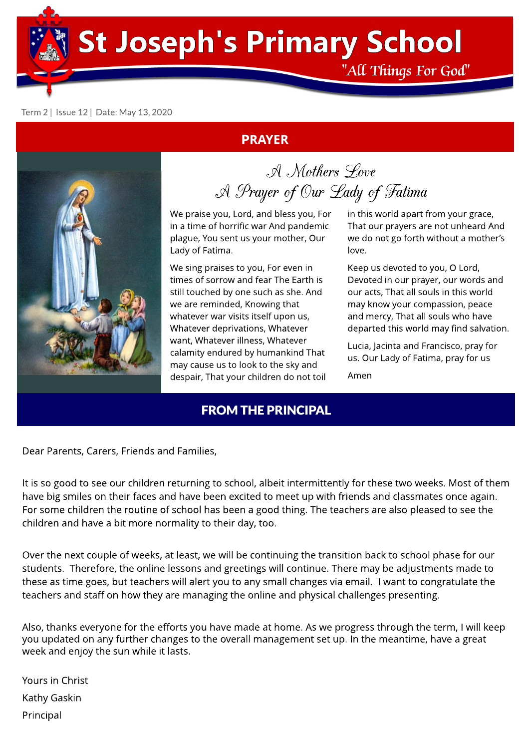**St Joseph's Primary School** 

"All Things For God"

in this world apart from your grace, That our prayers are not unheard And we do not go forth without a mother's

Keep us devoted to you, O Lord, Devoted in our prayer, our words and our acts, That all souls in this world may know your compassion, peace and mercy, That all souls who have departed this world may find salvation.

Lucia, Jacinta and Francisco, pray for us. Our Lady of Fatima, pray for us

#### Term 2 | Issue 12 | Date: May 13, 2020

#### PRAYER



A Mothers Love A Prayer of Our Lady of Fatima

love.

Amen

We praise you, Lord, and bless you, For in a time of horrific war And pandemic plague, You sent us your mother, Our Lady of Fatima.

We sing praises to you, For even in times of sorrow and fear The Earth is still touched by one such as she. And we are reminded, Knowing that whatever war visits itself upon us, Whatever deprivations, Whatever want, Whatever illness, Whatever calamity endured by humankind That may cause us to look to the sky and despair, That your children do not toil

**FROM THE PRINCIPAL** 

Dear Parents, Carers, Friends and Families,

It is so good to see our children returning to school, albeit intermittently for these two weeks. Most of them have big smiles on their faces and have been excited to meet up with friends and classmates once again. For some children the routine of school has been a good thing. The teachers are also pleased to see the children and have a bit more normality to their day, too.

Over the next couple of weeks, at least, we will be continuing the transition back to school phase for our students. Therefore, the online lessons and greetings will continue. There may be adjustments made to these as time goes, but teachers will alert you to any small changes via email. I want to congratulate the teachers and staff on how they are managing the online and physical challenges presenting.

Also, thanks everyone for the efforts you have made at home. As we progress through the term, I will keep you updated on any further changes to the overall management set up. In the meantime, have a great week and enjoy the sun while it lasts.

Yours in Christ Kathy Gaskin Principal